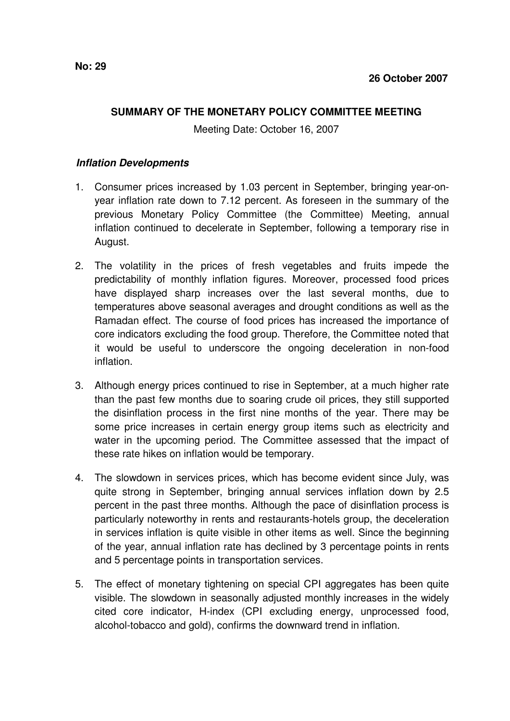## **SUMMARY OF THE MONETARY POLICY COMMITTEE MEETING**

Meeting Date: October 16, 2007

## **Inflation Developments**

- 1. Consumer prices increased by 1.03 percent in September, bringing year-onyear inflation rate down to 7.12 percent. As foreseen in the summary of the previous Monetary Policy Committee (the Committee) Meeting, annual inflation continued to decelerate in September, following a temporary rise in August.
- 2. The volatility in the prices of fresh vegetables and fruits impede the predictability of monthly inflation figures. Moreover, processed food prices have displayed sharp increases over the last several months, due to temperatures above seasonal averages and drought conditions as well as the Ramadan effect. The course of food prices has increased the importance of core indicators excluding the food group. Therefore, the Committee noted that it would be useful to underscore the ongoing deceleration in non-food inflation.
- 3. Although energy prices continued to rise in September, at a much higher rate than the past few months due to soaring crude oil prices, they still supported the disinflation process in the first nine months of the year. There may be some price increases in certain energy group items such as electricity and water in the upcoming period. The Committee assessed that the impact of these rate hikes on inflation would be temporary.
- 4. The slowdown in services prices, which has become evident since July, was quite strong in September, bringing annual services inflation down by 2.5 percent in the past three months. Although the pace of disinflation process is particularly noteworthy in rents and restaurants-hotels group, the deceleration in services inflation is quite visible in other items as well. Since the beginning of the year, annual inflation rate has declined by 3 percentage points in rents and 5 percentage points in transportation services.
- 5. The effect of monetary tightening on special CPI aggregates has been quite visible. The slowdown in seasonally adjusted monthly increases in the widely cited core indicator, H-index (CPI excluding energy, unprocessed food, alcohol-tobacco and gold), confirms the downward trend in inflation.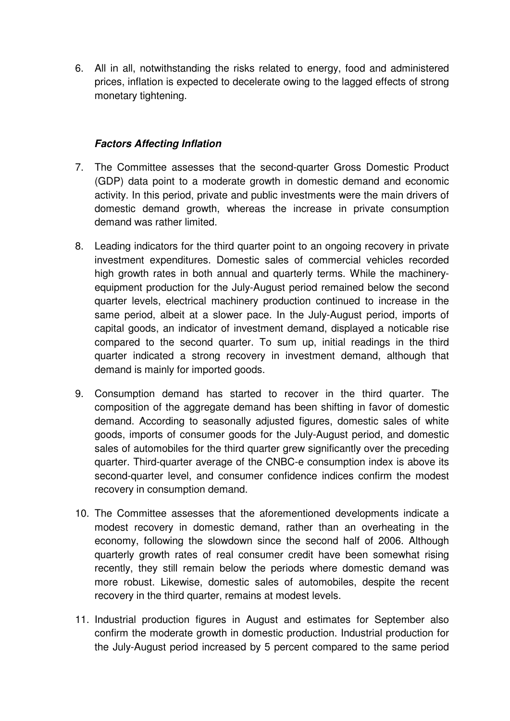6. All in all, notwithstanding the risks related to energy, food and administered prices, inflation is expected to decelerate owing to the lagged effects of strong monetary tightening.

## **Factors Affecting Inflation**

- 7. The Committee assesses that the second-quarter Gross Domestic Product (GDP) data point to a moderate growth in domestic demand and economic activity. In this period, private and public investments were the main drivers of domestic demand growth, whereas the increase in private consumption demand was rather limited.
- 8. Leading indicators for the third quarter point to an ongoing recovery in private investment expenditures. Domestic sales of commercial vehicles recorded high growth rates in both annual and quarterly terms. While the machineryequipment production for the July-August period remained below the second quarter levels, electrical machinery production continued to increase in the same period, albeit at a slower pace. In the July-August period, imports of capital goods, an indicator of investment demand, displayed a noticable rise compared to the second quarter. To sum up, initial readings in the third quarter indicated a strong recovery in investment demand, although that demand is mainly for imported goods.
- 9. Consumption demand has started to recover in the third quarter. The composition of the aggregate demand has been shifting in favor of domestic demand. According to seasonally adjusted figures, domestic sales of white goods, imports of consumer goods for the July-August period, and domestic sales of automobiles for the third quarter grew significantly over the preceding quarter. Third-quarter average of the CNBC-e consumption index is above its second-quarter level, and consumer confidence indices confirm the modest recovery in consumption demand.
- 10. The Committee assesses that the aforementioned developments indicate a modest recovery in domestic demand, rather than an overheating in the economy, following the slowdown since the second half of 2006. Although quarterly growth rates of real consumer credit have been somewhat rising recently, they still remain below the periods where domestic demand was more robust. Likewise, domestic sales of automobiles, despite the recent recovery in the third quarter, remains at modest levels.
- 11. Industrial production figures in August and estimates for September also confirm the moderate growth in domestic production. Industrial production for the July-August period increased by 5 percent compared to the same period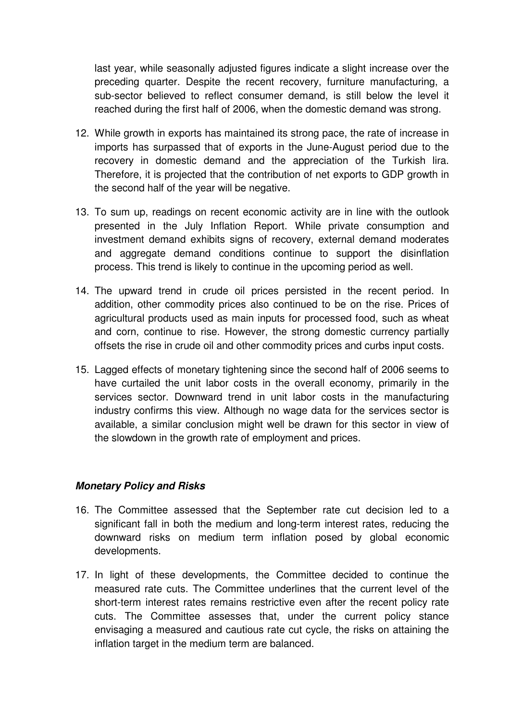last year, while seasonally adjusted figures indicate a slight increase over the preceding quarter. Despite the recent recovery, furniture manufacturing, a sub-sector believed to reflect consumer demand, is still below the level it reached during the first half of 2006, when the domestic demand was strong.

- 12. While growth in exports has maintained its strong pace, the rate of increase in imports has surpassed that of exports in the June-August period due to the recovery in domestic demand and the appreciation of the Turkish lira. Therefore, it is projected that the contribution of net exports to GDP growth in the second half of the year will be negative.
- 13. To sum up, readings on recent economic activity are in line with the outlook presented in the July Inflation Report. While private consumption and investment demand exhibits signs of recovery, external demand moderates and aggregate demand conditions continue to support the disinflation process. This trend is likely to continue in the upcoming period as well.
- 14. The upward trend in crude oil prices persisted in the recent period. In addition, other commodity prices also continued to be on the rise. Prices of agricultural products used as main inputs for processed food, such as wheat and corn, continue to rise. However, the strong domestic currency partially offsets the rise in crude oil and other commodity prices and curbs input costs.
- 15. Lagged effects of monetary tightening since the second half of 2006 seems to have curtailed the unit labor costs in the overall economy, primarily in the services sector. Downward trend in unit labor costs in the manufacturing industry confirms this view. Although no wage data for the services sector is available, a similar conclusion might well be drawn for this sector in view of the slowdown in the growth rate of employment and prices.

## **Monetary Policy and Risks**

- 16. The Committee assessed that the September rate cut decision led to a significant fall in both the medium and long-term interest rates, reducing the downward risks on medium term inflation posed by global economic developments.
- 17. In light of these developments, the Committee decided to continue the measured rate cuts. The Committee underlines that the current level of the short-term interest rates remains restrictive even after the recent policy rate cuts. The Committee assesses that, under the current policy stance envisaging a measured and cautious rate cut cycle, the risks on attaining the inflation target in the medium term are balanced.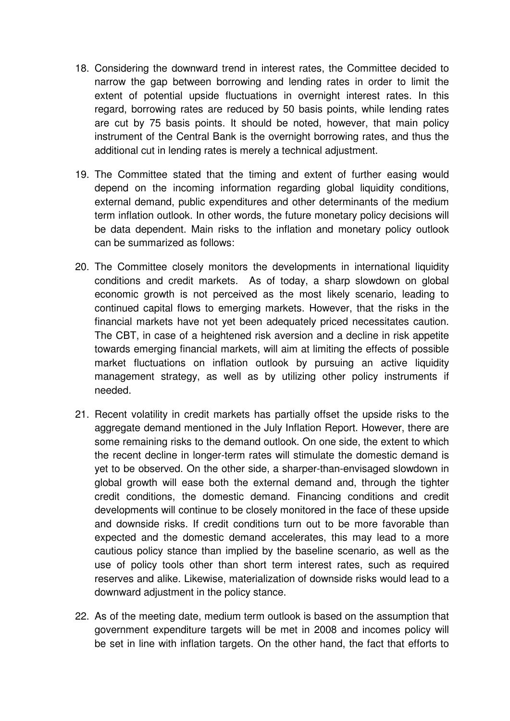- 18. Considering the downward trend in interest rates, the Committee decided to narrow the gap between borrowing and lending rates in order to limit the extent of potential upside fluctuations in overnight interest rates. In this regard, borrowing rates are reduced by 50 basis points, while lending rates are cut by 75 basis points. It should be noted, however, that main policy instrument of the Central Bank is the overnight borrowing rates, and thus the additional cut in lending rates is merely a technical adjustment.
- 19. The Committee stated that the timing and extent of further easing would depend on the incoming information regarding global liquidity conditions, external demand, public expenditures and other determinants of the medium term inflation outlook. In other words, the future monetary policy decisions will be data dependent. Main risks to the inflation and monetary policy outlook can be summarized as follows:
- 20. The Committee closely monitors the developments in international liquidity conditions and credit markets. As of today, a sharp slowdown on global economic growth is not perceived as the most likely scenario, leading to continued capital flows to emerging markets. However, that the risks in the financial markets have not yet been adequately priced necessitates caution. The CBT, in case of a heightened risk aversion and a decline in risk appetite towards emerging financial markets, will aim at limiting the effects of possible market fluctuations on inflation outlook by pursuing an active liquidity management strategy, as well as by utilizing other policy instruments if needed.
- 21. Recent volatility in credit markets has partially offset the upside risks to the aggregate demand mentioned in the July Inflation Report. However, there are some remaining risks to the demand outlook. On one side, the extent to which the recent decline in longer-term rates will stimulate the domestic demand is yet to be observed. On the other side, a sharper-than-envisaged slowdown in global growth will ease both the external demand and, through the tighter credit conditions, the domestic demand. Financing conditions and credit developments will continue to be closely monitored in the face of these upside and downside risks. If credit conditions turn out to be more favorable than expected and the domestic demand accelerates, this may lead to a more cautious policy stance than implied by the baseline scenario, as well as the use of policy tools other than short term interest rates, such as required reserves and alike. Likewise, materialization of downside risks would lead to a downward adjustment in the policy stance.
- 22. As of the meeting date, medium term outlook is based on the assumption that government expenditure targets will be met in 2008 and incomes policy will be set in line with inflation targets. On the other hand, the fact that efforts to